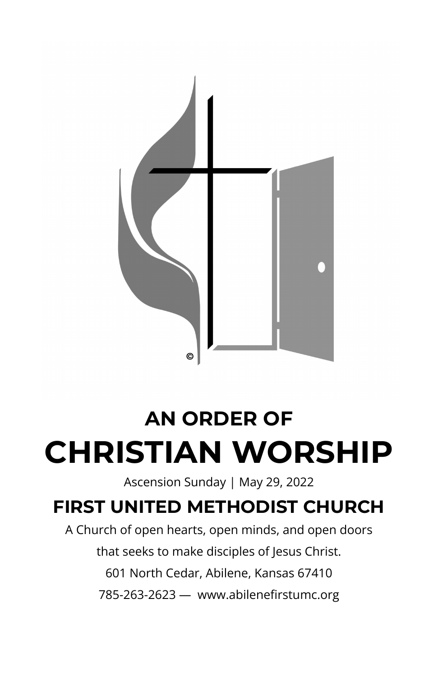

## **AN ORDER OF CHRISTIAN WORSHIP**

Ascension Sunday | May 29, 2022

### **FIRST UNITED METHODIST CHURCH**

A Church of open hearts, open minds, and open doors that seeks to make disciples of Jesus Christ. 601 North Cedar, Abilene, Kansas 67410 785-263-2623 — www.abilenefirstumc.org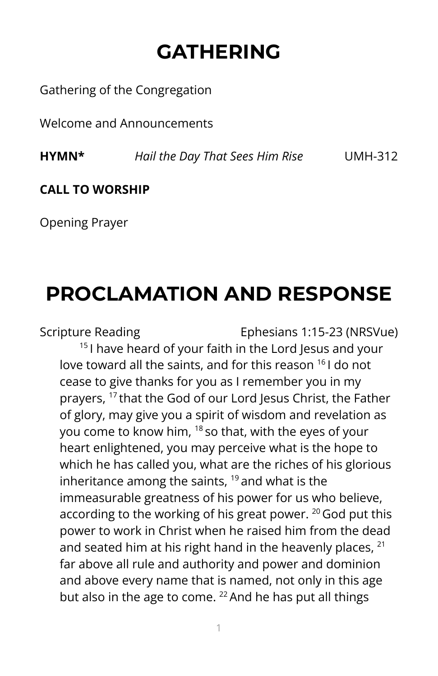## **GATHERING**

Gathering of the Congregation

Welcome and Announcements

**HYMN\*** *Hail the Day That Sees Him Rise* UMH-312

#### **CALL TO WORSHIP**

Opening Prayer

### **PROCLAMATION AND RESPONSE**

Scripture Reading Ephesians 1:15-23 (NRSVue) <sup>15</sup> I have heard of your faith in the Lord Jesus and your love toward all the saints, and for this reason <sup>16</sup> I do not cease to give thanks for you as I remember you in my prayers, 17 that the God of our Lord Jesus Christ, the Father of glory, may give you a spirit of wisdom and revelation as you come to know him, <sup>18</sup> so that, with the eyes of your heart enlightened, you may perceive what is the hope to which he has called you, what are the riches of his glorious inheritance among the saints, <sup>19</sup> and what is the immeasurable greatness of his power for us who believe, according to the working of his great power.  $^{20}$  God put this power to work in Christ when he raised him from the dead and seated him at his right hand in the heavenly places,  $21$ far above all rule and authority and power and dominion and above every name that is named, not only in this age but also in the age to come. <sup>22</sup> And he has put all things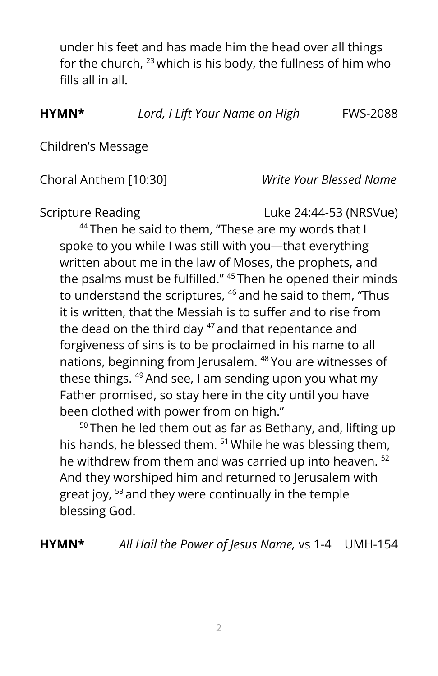under his feet and has made him the head over all things for the church,  $^{23}$  which is his body, the fullness of him who fills all in all.

**HYMN\*** *Lord, I Lift Your Name on High* FWS-2088

Children's Message

#### Choral Anthem [10:30] *Write Your Blessed Name*

Scripture Reading Luke 24:44-53 (NRSVue)

<sup>44</sup> Then he said to them, "These are my words that I spoke to you while I was still with you—that everything written about me in the law of Moses, the prophets, and the psalms must be fulfilled." <sup>45</sup> Then he opened their minds to understand the scriptures, <sup>46</sup> and he said to them, "Thus it is written, that the Messiah is to suffer and to rise from the dead on the third day <sup>47</sup> and that repentance and forgiveness of sins is to be proclaimed in his name to all nations, beginning from Jerusalem. <sup>48</sup> You are witnesses of these things. <sup>49</sup> And see, I am sending upon you what my Father promised, so stay here in the city until you have been clothed with power from on high."

 $50$  Then he led them out as far as Bethany, and, lifting up his hands, he blessed them. <sup>51</sup> While he was blessing them, he withdrew from them and was carried up into heaven. 52 And they worshiped him and returned to Jerusalem with great joy, <sup>53</sup> and they were continually in the temple blessing God.

**HYMN\*** *All Hail the Power of Jesus Name,* vs 1-4 UMH-154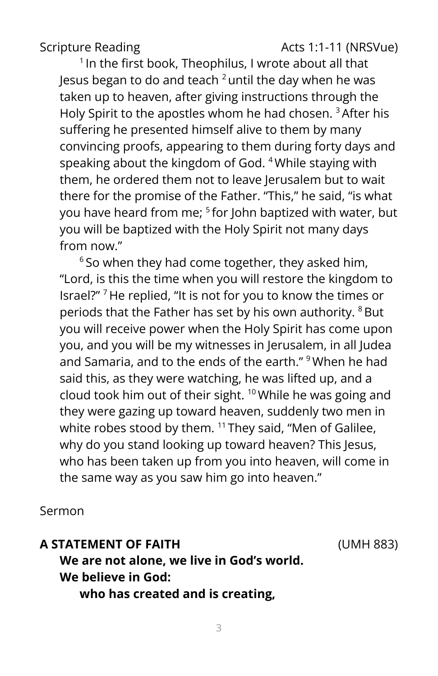Scripture Reading The Contract Contract Acts 1:1-11 (NRSVue)

<sup>1</sup> In the first book, Theophilus, I wrote about all that Jesus began to do and teach  $^2$ until the day when he was taken up to heaven, after giving instructions through the Holy Spirit to the apostles whom he had chosen. <sup>3</sup>After his suffering he presented himself alive to them by many convincing proofs, appearing to them during forty days and speaking about the kingdom of God. <sup>4</sup> While staying with them, he ordered them not to leave Jerusalem but to wait there for the promise of the Father. "This," he said, "is what you have heard from me; 5 for John baptized with water, but you will be baptized with the Holy Spirit not many days from now."

 $6$  So when they had come together, they asked him, "Lord, is this the time when you will restore the kingdom to Israel?" <sup>7</sup> He replied, "It is not for you to know the times or periods that the Father has set by his own authority. <sup>8</sup>But you will receive power when the Holy Spirit has come upon you, and you will be my witnesses in Jerusalem, in all Judea and Samaria, and to the ends of the earth." <sup>9</sup> When he had said this, as they were watching, he was lifted up, and a cloud took him out of their sight. <sup>10</sup> While he was going and they were gazing up toward heaven, suddenly two men in white robes stood by them. <sup>11</sup> They said, "Men of Galilee, why do you stand looking up toward heaven? This Jesus, who has been taken up from you into heaven, will come in the same way as you saw him go into heaven."

Sermon

#### **A STATEMENT OF FAITH** (UMH 883)

**We are not alone, we live in God's world. We believe in God:**

**who has created and is creating,**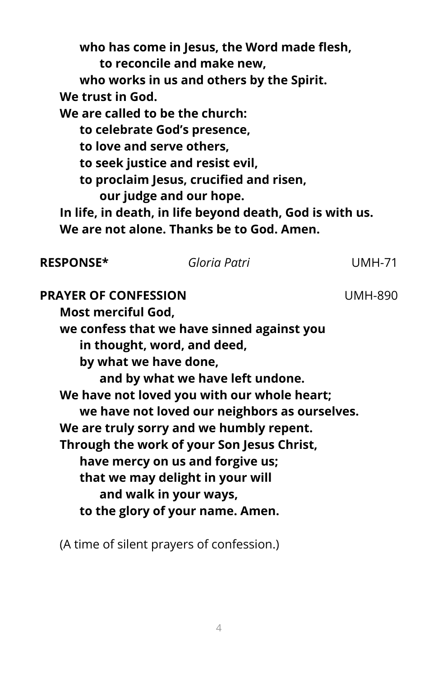**who has come in Jesus, the Word made flesh, to reconcile and make new, who works in us and others by the Spirit. We trust in God. We are called to be the church: to celebrate God's presence, to love and serve others, to seek justice and resist evil, to proclaim Jesus, crucified and risen, our judge and our hope. In life, in death, in life beyond death, God is with us. We are not alone. Thanks be to God. Amen. RESPONSE\*** *Gloria Patri* UMH-71 **PRAYER OF CONFESSION** UMH-890 **Most merciful God,**

**we confess that we have sinned against you in thought, word, and deed, by what we have done, and by what we have left undone. We have not loved you with our whole heart; we have not loved our neighbors as ourselves. We are truly sorry and we humbly repent. Through the work of your Son Jesus Christ, have mercy on us and forgive us; that we may delight in your will and walk in your ways, to the glory of your name. Amen.**

(A time of silent prayers of confession.)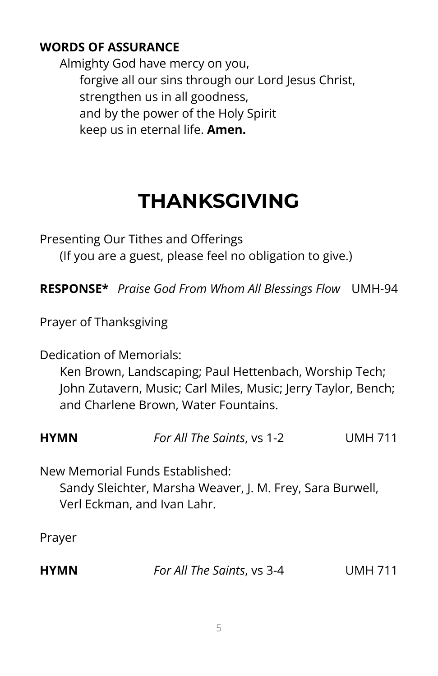### **WORDS OF ASSURANCE**

Almighty God have mercy on you, forgive all our sins through our Lord Jesus Christ, strengthen us in all goodness, and by the power of the Holy Spirit keep us in eternal life. **Amen.**

## **THANKSGIVING**

Presenting Our Tithes and Offerings

(If you are a guest, please feel no obligation to give.)

**RESPONSE\*** *Praise God From Whom All Blessings Flow* UMH-94

Prayer of Thanksgiving

Dedication of Memorials:

Ken Brown, Landscaping; Paul Hettenbach, Worship Tech; John Zutavern, Music; Carl Miles, Music; Jerry Taylor, Bench; and Charlene Brown, Water Fountains.

| <b>HYMN</b> | For All The Saints, vs 1-2 | <b>UMH 711</b> |
|-------------|----------------------------|----------------|
|-------------|----------------------------|----------------|

New Memorial Funds Established: Sandy Sleichter, Marsha Weaver, J. M. Frey, Sara Burwell, Verl Eckman, and Ivan Lahr.

Prayer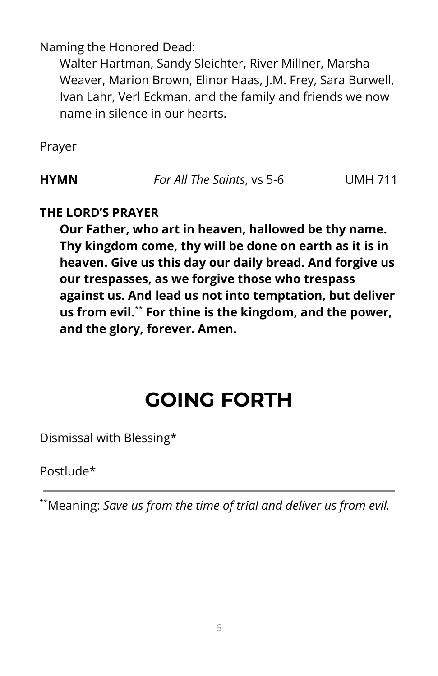Naming the Honored Dead:

Walter Hartman, Sandy Sleichter, River Millner, Marsha Weaver, Marion Brown, Elinor Haas, J.M. Frey, Sara Burwell, Ivan Lahr, Verl Eckman, and the family and friends we now name in silence in our hearts.

Prayer

**HYMN** *For All The Saints*, vs 5-6 UMH 711

#### **THE LORD'S PRAYER**

**Our Father, who art in heaven, hallowed be thy name. Thy kingdom come, thy will be done on earth as it is in heaven. Give us this day our daily bread. And forgive us our trespasses, as we forgive those who trespass against us. And lead us not into temptation, but deliver us from evil.** \*\* **For thine is the kingdom, and the power, and the glory, forever. Amen.**

### **GOING FORTH**

Dismissal with Blessing\*

Postlude\*

\*\*Meaning: *Save us from the time of trial and deliver us from evil.*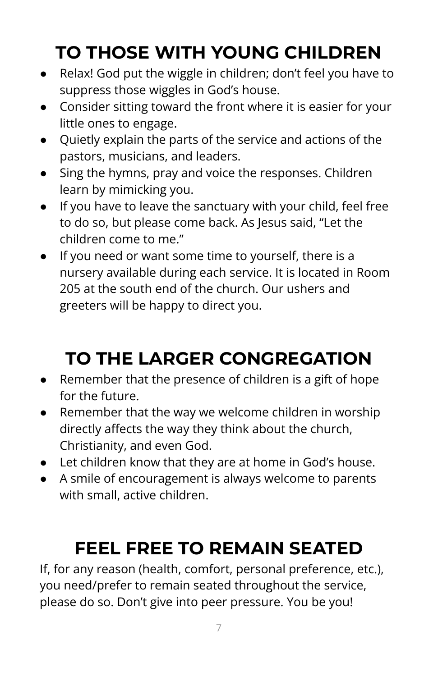## **TO THOSE WITH YOUNG CHILDREN**

- Relax! God put the wiggle in children; don't feel you have to suppress those wiggles in God's house.
- Consider sitting toward the front where it is easier for your little ones to engage.
- Quietly explain the parts of the service and actions of the pastors, musicians, and leaders.
- Sing the hymns, pray and voice the responses. Children learn by mimicking you.
- If you have to leave the sanctuary with your child, feel free to do so, but please come back. As Jesus said, "Let the children come to me."
- If you need or want some time to yourself, there is a nursery available during each service. It is located in Room 205 at the south end of the church. Our ushers and greeters will be happy to direct you.

## **TO THE LARGER CONGREGATION**

- Remember that the presence of children is a gift of hope for the future.
- Remember that the way we welcome children in worship directly affects the way they think about the church, Christianity, and even God.
- Let children know that they are at home in God's house.
- A smile of encouragement is always welcome to parents with small, active children.

## **FEEL FREE TO REMAIN SEATED**

If, for any reason (health, comfort, personal preference, etc.), you need/prefer to remain seated throughout the service, please do so. Don't give into peer pressure. You be you!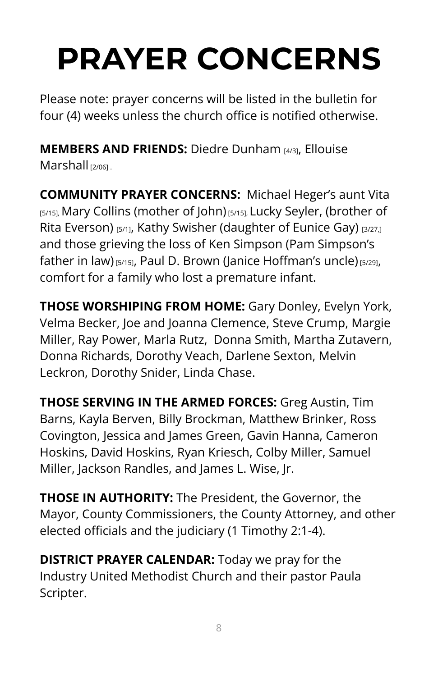# **PRAYER CONCERNS**

Please note: prayer concerns will be listed in the bulletin for four (4) weeks unless the church office is notified otherwise.

**MEMBERS AND FRIENDS:** Diedre Dunham [4/3], Ellouise Marshall <sub>[2/06]</sub>

**COMMUNITY PRAYER CONCERNS:** Michael Heger's aunt Vita [5/15], Mary Collins (mother of John) [5/15], Lucky Seyler, (brother of Rita Everson) [5/1], Kathy Swisher (daughter of Eunice Gay) [3/27,] and those grieving the loss of Ken Simpson (Pam Simpson's father in law) [5/15], Paul D. Brown (Janice Hoffman's uncle) [5/29], comfort for a family who lost a premature infant.

**THOSE WORSHIPING FROM HOME:** Gary Donley, Evelyn York, Velma Becker, Joe and Joanna Clemence, Steve Crump, Margie Miller, Ray Power, Marla Rutz, Donna Smith, Martha Zutavern, Donna Richards, Dorothy Veach, Darlene Sexton, Melvin Leckron, Dorothy Snider, Linda Chase.

**THOSE SERVING IN THE ARMED FORCES:** Greg Austin, Tim Barns, Kayla Berven, Billy Brockman, Matthew Brinker, Ross Covington, Jessica and James Green, Gavin Hanna, Cameron Hoskins, David Hoskins, Ryan Kriesch, Colby Miller, Samuel Miller, Jackson Randles, and James L. Wise, Jr.

**THOSE IN AUTHORITY:** The President, the Governor, the Mayor, County Commissioners, the County Attorney, and other elected officials and the judiciary (1 Timothy 2:1-4).

**DISTRICT PRAYER CALENDAR:** Today we pray for the Industry United Methodist Church and their pastor Paula Scripter.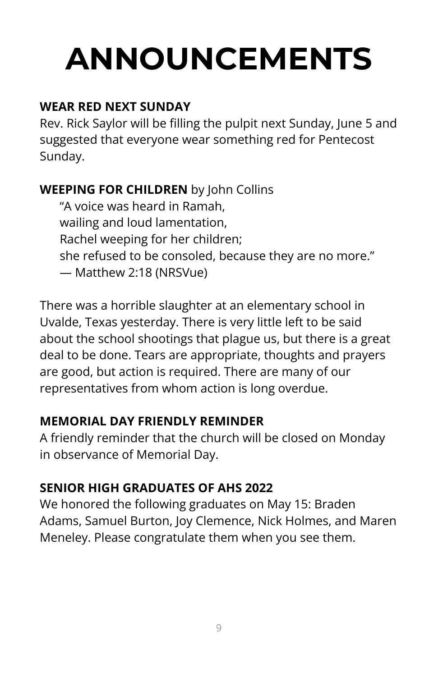# **ANNOUNCEMENTS**

### **WEAR RED NEXT SUNDAY**

Rev. Rick Saylor will be filling the pulpit next Sunday, June 5 and suggested that everyone wear something red for Pentecost Sunday.

### **WEEPING FOR CHILDREN** by John Collins

"A voice was heard in Ramah, wailing and loud lamentation, Rachel weeping for her children; she refused to be consoled, because they are no more." — Matthew 2:18 (NRSVue)

There was a horrible slaughter at an elementary school in Uvalde, Texas yesterday. There is very little left to be said about the school shootings that plague us, but there is a great deal to be done. Tears are appropriate, thoughts and prayers are good, but action is required. There are many of our representatives from whom action is long overdue.

### **MEMORIAL DAY FRIENDLY REMINDER**

A friendly reminder that the church will be closed on Monday in observance of Memorial Day.

### **SENIOR HIGH GRADUATES OF AHS 2022**

We honored the following graduates on May 15: Braden Adams, Samuel Burton, Joy Clemence, Nick Holmes, and Maren Meneley. Please congratulate them when you see them.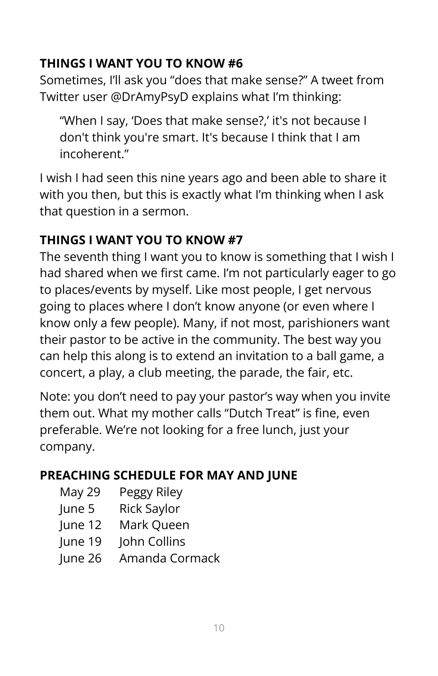### **THINGS I WANT YOU TO KNOW #6**

Sometimes, I'll ask you "does that make sense?" A tweet from Twitter user @DrAmyPsyD explains what I'm thinking:

"When I say, 'Does that make sense?,' it's not because I don't think you're smart. It's because I think that I am incoherent"

I wish I had seen this nine years ago and been able to share it with you then, but this is exactly what I'm thinking when I ask that question in a sermon.

### **THINGS I WANT YOU TO KNOW #7**

The seventh thing I want you to know is something that I wish I had shared when we first came. I'm not particularly eager to go to places/events by myself. Like most people, I get nervous going to places where I don't know anyone (or even where I know only a few people). Many, if not most, parishioners want their pastor to be active in the community. The best way you can help this along is to extend an invitation to a ball game, a concert, a play, a club meeting, the parade, the fair, etc.

Note: you don't need to pay your pastor's way when you invite them out. What my mother calls "Dutch Treat" is fine, even preferable. We're not looking for a free lunch, just your company.

### **PREACHING SCHEDULE FOR MAY AND JUNE**

- May 29 Peggy Riley
- June 5 Rick Saylor
- June 12 Mark Queen
- June 19 John Collins
- June 26 Amanda Cormack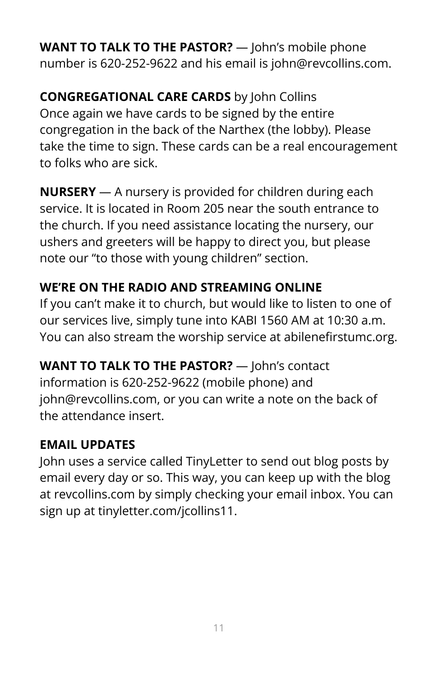**WANT TO TALK TO THE PASTOR?** — John's mobile phone number is 620-252-9622 and his email is john@revcollins.com.

**CONGREGATIONAL CARE CARDS** by John Collins Once again we have cards to be signed by the entire congregation in the back of the Narthex (the lobby). Please take the time to sign. These cards can be a real encouragement to folks who are sick.

**NURSERY** — A nursery is provided for children during each service. It is located in Room 205 near the south entrance to the church. If you need assistance locating the nursery, our ushers and greeters will be happy to direct you, but please note our "to those with young children" section.

### **WE'RE ON THE RADIO AND STREAMING ONLINE**

If you can't make it to church, but would like to listen to one of our services live, simply tune into KABI 1560 AM at 10:30 a.m. You can also stream the worship service at abilenefirstumc.org.

**WANT TO TALK TO THE PASTOR?** — John's contact information is 620-252-9622 (mobile phone) and john@revcollins.com, or you can write a note on the back of the attendance insert.

### **EMAIL UPDATES**

John uses a service called TinyLetter to send out blog posts by email every day or so. This way, you can keep up with the blog at revcollins.com by simply checking your email inbox. You can sign up at tinyletter.com/jcollins11.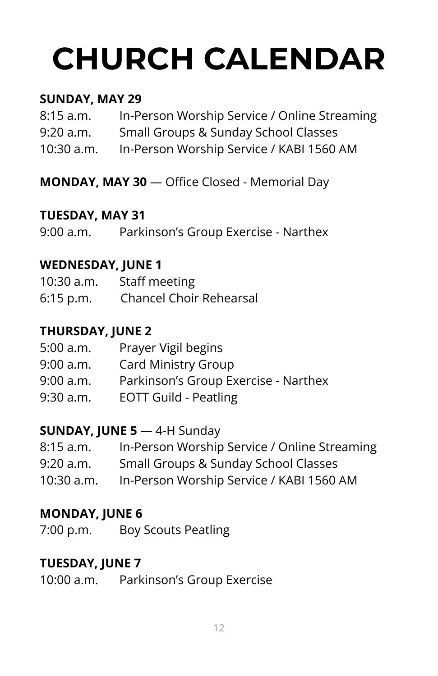# **CHURCH CALENDAR**

### **SUNDAY, MAY 29**

| 8:15 a.m.    | In-Person Worship Service / Online Streaming |
|--------------|----------------------------------------------|
| 9:20 a.m.    | Small Groups & Sunday School Classes         |
| $10:30$ a.m. | In-Person Worship Service / KABI 1560 AM     |

**MONDAY, MAY 30** — Office Closed - Memorial Day

### **TUESDAY, MAY 31**

9:00 a.m. Parkinson's Group Exercise - Narthex

### **WEDNESDAY, JUNE 1**

| $10:30$ a.m. | Staff meeting                  |
|--------------|--------------------------------|
| $6:15$ p.m.  | <b>Chancel Choir Rehearsal</b> |

### **THURSDAY, JUNE 2**

| 5:00 a.m. | Prayer Vigil begins                  |
|-----------|--------------------------------------|
| 9:00 a.m. | Card Ministry Group                  |
| 9:00 a.m. | Parkinson's Group Exercise - Narthex |
| 9:30 a.m. | <b>EOTT Guild - Peatling</b>         |

### **SUNDAY, JUNE 5** — 4-H Sunday

| 8:15 a.m.    | In-Person Worship Service / Online Streaming                                                                                          |
|--------------|---------------------------------------------------------------------------------------------------------------------------------------|
| $0.20 - 0.0$ | $C_{\text{max}}$ . If $C_{\text{max}}$ is a $C_{\text{max}}$ denotes $C_{\text{max}}$ . $C_{\text{max}}$ is a set of $C_{\text{max}}$ |

- 9:20 a.m. Small Groups & Sunday School Classes
- 10:30 a.m. In-Person Worship Service / KABI 1560 AM

### **MONDAY, JUNE 6**

7:00 p.m. Boy Scouts Peatling

### **TUESDAY, JUNE 7**

10:00 a.m. Parkinson's Group Exercise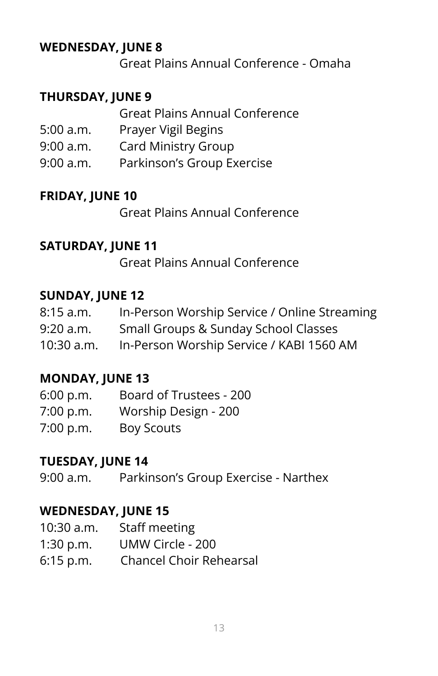### **WEDNESDAY, JUNE 8**

Great Plains Annual Conference - Omaha

### **THURSDAY, JUNE 9**

|           | <b>Great Plains Annual Conference</b> |
|-----------|---------------------------------------|
| 5:00 a.m. | Prayer Vigil Begins                   |
| 9:00 a.m. | <b>Card Ministry Group</b>            |
| 9:00 a.m. | Parkinson's Group Exercise            |

### **FRIDAY, JUNE 10**

Great Plains Annual Conference

### **SATURDAY, JUNE 11**

Great Plains Annual Conference

### **SUNDAY, JUNE 12**

| 8:15 a.m.  | In-Person Worship Service / Online Streaming |
|------------|----------------------------------------------|
| 9:20 a.m.  | Small Groups & Sunday School Classes         |
| 10:30 a.m. | In-Person Worship Service / KABI 1560 AM     |

### **MONDAY, JUNE 13**

| 6:00 p.m. | Board of Trustees - 200 |
|-----------|-------------------------|
| 7:00 p.m. | Worship Design - 200    |
| 7:00 p.m. | Boy Scouts              |

### **TUESDAY, JUNE 14**

9:00 a.m. Parkinson's Group Exercise - Narthex

### **WEDNESDAY, JUNE 15**

| 10:30 a.m.  | Staff meeting                  |
|-------------|--------------------------------|
| 1:30 p.m.   | UMW Circle - 200               |
| $6:15$ p.m. | <b>Chancel Choir Rehearsal</b> |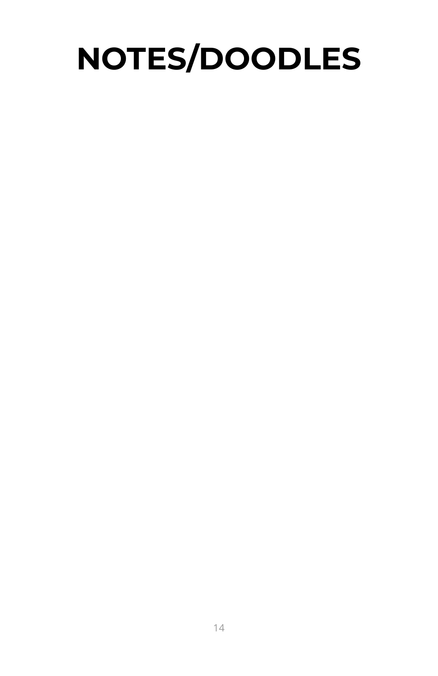## **NOTES/DOODLES**